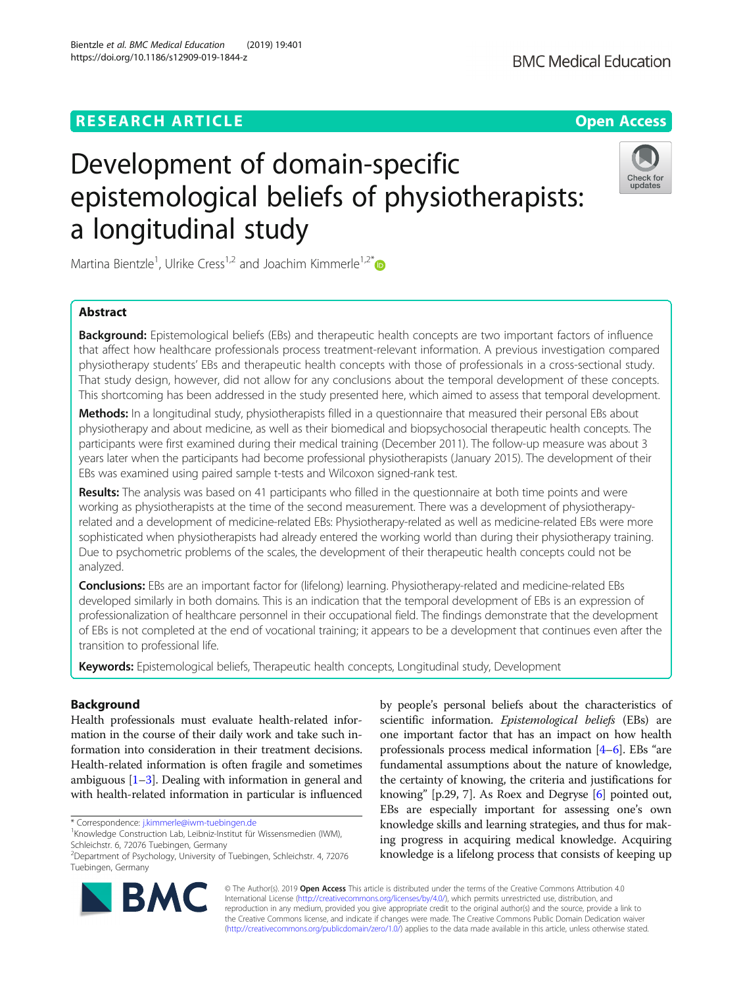# **RESEARCH ARTICLE Example 2014 12:30 The Contract of Contract ACCESS**

# Development of domain-specific epistemological beliefs of physiotherapists: a longitudinal study

Martina Bientzle<sup>1</sup>, Ulrike Cress<sup>1,2</sup> and Joachim Kimmerle<sup>1,2[\\*](http://orcid.org/0000-0002-6345-9498)</sup>

# Abstract

**Background:** Epistemological beliefs (EBs) and therapeutic health concepts are two important factors of influence that affect how healthcare professionals process treatment-relevant information. A previous investigation compared physiotherapy students' EBs and therapeutic health concepts with those of professionals in a cross-sectional study. That study design, however, did not allow for any conclusions about the temporal development of these concepts. This shortcoming has been addressed in the study presented here, which aimed to assess that temporal development.

Methods: In a longitudinal study, physiotherapists filled in a questionnaire that measured their personal EBs about physiotherapy and about medicine, as well as their biomedical and biopsychosocial therapeutic health concepts. The participants were first examined during their medical training (December 2011). The follow-up measure was about 3 years later when the participants had become professional physiotherapists (January 2015). The development of their EBs was examined using paired sample t-tests and Wilcoxon signed-rank test.

Results: The analysis was based on 41 participants who filled in the questionnaire at both time points and were working as physiotherapists at the time of the second measurement. There was a development of physiotherapyrelated and a development of medicine-related EBs: Physiotherapy-related as well as medicine-related EBs were more sophisticated when physiotherapists had already entered the working world than during their physiotherapy training. Due to psychometric problems of the scales, the development of their therapeutic health concepts could not be analyzed.

Conclusions: EBs are an important factor for (lifelong) learning. Physiotherapy-related and medicine-related EBs developed similarly in both domains. This is an indication that the temporal development of EBs is an expression of professionalization of healthcare personnel in their occupational field. The findings demonstrate that the development of EBs is not completed at the end of vocational training; it appears to be a development that continues even after the transition to professional life.

Keywords: Epistemological beliefs, Therapeutic health concepts, Longitudinal study, Development

# Background

Health professionals must evaluate health-related information in the course of their daily work and take such information into consideration in their treatment decisions. Health-related information is often fragile and sometimes ambiguous  $[1-3]$  $[1-3]$  $[1-3]$ . Dealing with information in general and with health-related information in particular is influenced

\* Correspondence: [j.kimmerle@iwm-tuebingen.de](mailto:j.kimmerle@iwm-tuebingen.de) <sup>1</sup>

© The Author(s). 2019 Open Access This article is distributed under the terms of the Creative Commons Attribution 4.0 International License [\(http://creativecommons.org/licenses/by/4.0/](http://creativecommons.org/licenses/by/4.0/)), which permits unrestricted use, distribution, and reproduction in any medium, provided you give appropriate credit to the original author(s) and the source, provide a link to the Creative Commons license, and indicate if changes were made. The Creative Commons Public Domain Dedication waiver [\(http://creativecommons.org/publicdomain/zero/1.0/](http://creativecommons.org/publicdomain/zero/1.0/)) applies to the data made available in this article, unless otherwise stated.

by people's personal beliefs about the characteristics of scientific information. Epistemological beliefs (EBs) are one important factor that has an impact on how health professionals process medical information [[4](#page-5-0)–[6](#page-5-0)]. EBs "are fundamental assumptions about the nature of knowledge, the certainty of knowing, the criteria and justifications for knowing" [p.29, 7]. As Roex and Degryse [\[6\]](#page-5-0) pointed out, EBs are especially important for assessing one's own knowledge skills and learning strategies, and thus for making progress in acquiring medical knowledge. Acquiring knowledge is a lifelong process that consists of keeping up







<sup>&</sup>lt;sup>1</sup>Knowledge Construction Lab, Leibniz-Institut für Wissensmedien (IWM), Schleichstr. 6, 72076 Tuebingen, Germany

<sup>&</sup>lt;sup>2</sup>Department of Psychology, University of Tuebingen, Schleichstr. 4, 72076 Tuebingen, Germany

**BMC**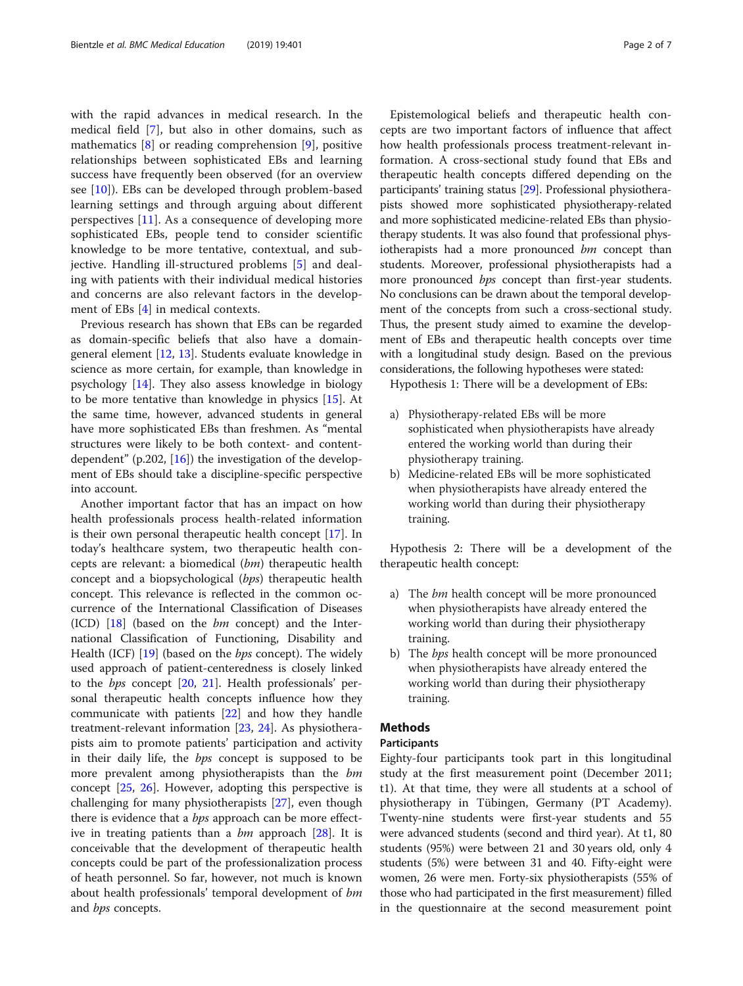with the rapid advances in medical research. In the medical field [\[7](#page-5-0)], but also in other domains, such as mathematics [\[8](#page-5-0)] or reading comprehension [[9\]](#page-5-0), positive relationships between sophisticated EBs and learning success have frequently been observed (for an overview see  $[10]$  $[10]$  $[10]$ ). EBs can be developed through problem-based learning settings and through arguing about different perspectives [[11\]](#page-5-0). As a consequence of developing more sophisticated EBs, people tend to consider scientific knowledge to be more tentative, contextual, and subjective. Handling ill-structured problems [[5\]](#page-5-0) and dealing with patients with their individual medical histories and concerns are also relevant factors in the development of EBs [[4\]](#page-5-0) in medical contexts.

Previous research has shown that EBs can be regarded as domain-specific beliefs that also have a domaingeneral element [\[12,](#page-5-0) [13\]](#page-5-0). Students evaluate knowledge in science as more certain, for example, than knowledge in psychology [\[14\]](#page-5-0). They also assess knowledge in biology to be more tentative than knowledge in physics [[15\]](#page-5-0). At the same time, however, advanced students in general have more sophisticated EBs than freshmen. As "mental structures were likely to be both context- and contentdependent" (p.202,  $[16]$  $[16]$ ) the investigation of the development of EBs should take a discipline-specific perspective into account.

Another important factor that has an impact on how health professionals process health-related information is their own personal therapeutic health concept [\[17](#page-5-0)]. In today's healthcare system, two therapeutic health concepts are relevant: a biomedical (bm) therapeutic health concept and a biopsychological (bps) therapeutic health concept. This relevance is reflected in the common occurrence of the International Classification of Diseases (ICD)  $[18]$  $[18]$  (based on the *bm* concept) and the International Classification of Functioning, Disability and Health (ICF) [\[19](#page-5-0)] (based on the *bps* concept). The widely used approach of patient-centeredness is closely linked to the bps concept [[20](#page-5-0), [21](#page-5-0)]. Health professionals' personal therapeutic health concepts influence how they communicate with patients [[22](#page-5-0)] and how they handle treatment-relevant information [\[23](#page-5-0), [24\]](#page-5-0). As physiotherapists aim to promote patients' participation and activity in their daily life, the bps concept is supposed to be more prevalent among physiotherapists than the bm concept [\[25](#page-5-0), [26](#page-5-0)]. However, adopting this perspective is challenging for many physiotherapists [[27](#page-5-0)], even though there is evidence that a *bps* approach can be more effective in treating patients than a  $bm$  approach  $[28]$  $[28]$ . It is conceivable that the development of therapeutic health concepts could be part of the professionalization process of heath personnel. So far, however, not much is known about health professionals' temporal development of bm and *bps* concepts.

Epistemological beliefs and therapeutic health concepts are two important factors of influence that affect how health professionals process treatment-relevant information. A cross-sectional study found that EBs and therapeutic health concepts differed depending on the participants' training status [[29](#page-5-0)]. Professional physiotherapists showed more sophisticated physiotherapy-related and more sophisticated medicine-related EBs than physiotherapy students. It was also found that professional physiotherapists had a more pronounced bm concept than students. Moreover, professional physiotherapists had a more pronounced bps concept than first-year students. No conclusions can be drawn about the temporal development of the concepts from such a cross-sectional study. Thus, the present study aimed to examine the development of EBs and therapeutic health concepts over time with a longitudinal study design. Based on the previous considerations, the following hypotheses were stated:

Hypothesis 1: There will be a development of EBs:

- a) Physiotherapy-related EBs will be more sophisticated when physiotherapists have already entered the working world than during their physiotherapy training.
- b) Medicine-related EBs will be more sophisticated when physiotherapists have already entered the working world than during their physiotherapy training.

Hypothesis 2: There will be a development of the therapeutic health concept:

- a) The  $bm$  health concept will be more pronounced when physiotherapists have already entered the working world than during their physiotherapy training.
- b) The *bps* health concept will be more pronounced when physiotherapists have already entered the working world than during their physiotherapy training.

# Methods

# Participants

Eighty-four participants took part in this longitudinal study at the first measurement point (December 2011; t1). At that time, they were all students at a school of physiotherapy in Tübingen, Germany (PT Academy). Twenty-nine students were first-year students and 55 were advanced students (second and third year). At t1, 80 students (95%) were between 21 and 30 years old, only 4 students (5%) were between 31 and 40. Fifty-eight were women, 26 were men. Forty-six physiotherapists (55% of those who had participated in the first measurement) filled in the questionnaire at the second measurement point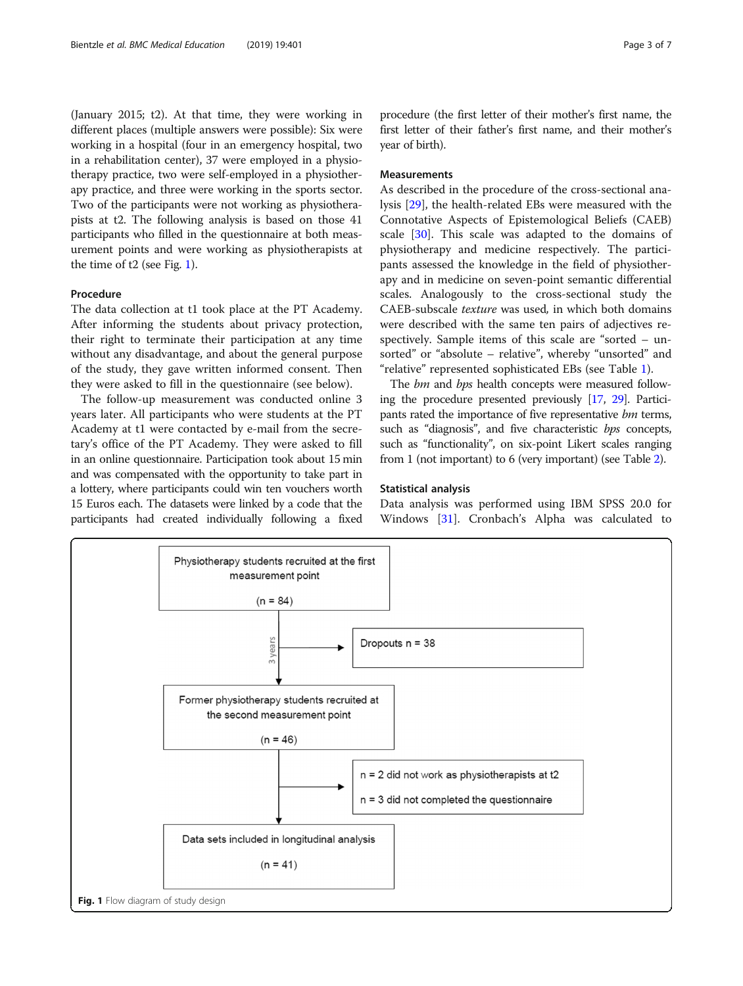(January 2015; t2). At that time, they were working in different places (multiple answers were possible): Six were working in a hospital (four in an emergency hospital, two in a rehabilitation center), 37 were employed in a physiotherapy practice, two were self-employed in a physiotherapy practice, and three were working in the sports sector. Two of the participants were not working as physiotherapists at t2. The following analysis is based on those 41 participants who filled in the questionnaire at both measurement points and were working as physiotherapists at the time of t2 (see Fig. 1).

## Procedure

The data collection at t1 took place at the PT Academy. After informing the students about privacy protection, their right to terminate their participation at any time without any disadvantage, and about the general purpose of the study, they gave written informed consent. Then they were asked to fill in the questionnaire (see below).

The follow-up measurement was conducted online 3 years later. All participants who were students at the PT Academy at t1 were contacted by e-mail from the secretary's office of the PT Academy. They were asked to fill in an online questionnaire. Participation took about 15 min and was compensated with the opportunity to take part in a lottery, where participants could win ten vouchers worth 15 Euros each. The datasets were linked by a code that the participants had created individually following a fixed

procedure (the first letter of their mother's first name, the first letter of their father's first name, and their mother's year of birth).

# Measurements

As described in the procedure of the cross-sectional analysis [\[29\]](#page-5-0), the health-related EBs were measured with the Connotative Aspects of Epistemological Beliefs (CAEB) scale [[30\]](#page-5-0). This scale was adapted to the domains of physiotherapy and medicine respectively. The participants assessed the knowledge in the field of physiotherapy and in medicine on seven-point semantic differential scales. Analogously to the cross-sectional study the CAEB-subscale texture was used, in which both domains were described with the same ten pairs of adjectives respectively. Sample items of this scale are "sorted – unsorted" or "absolute – relative", whereby "unsorted" and "relative" represented sophisticated EBs (see Table [1\)](#page-3-0).

The *bm* and *bps* health concepts were measured following the procedure presented previously [\[17,](#page-5-0) [29](#page-5-0)]. Participants rated the importance of five representative bm terms, such as "diagnosis", and five characteristic bps concepts, such as "functionality", on six-point Likert scales ranging from 1 (not important) to 6 (very important) (see Table [2](#page-3-0)).

## Statistical analysis

Data analysis was performed using IBM SPSS 20.0 for Windows [[31\]](#page-5-0). Cronbach's Alpha was calculated to

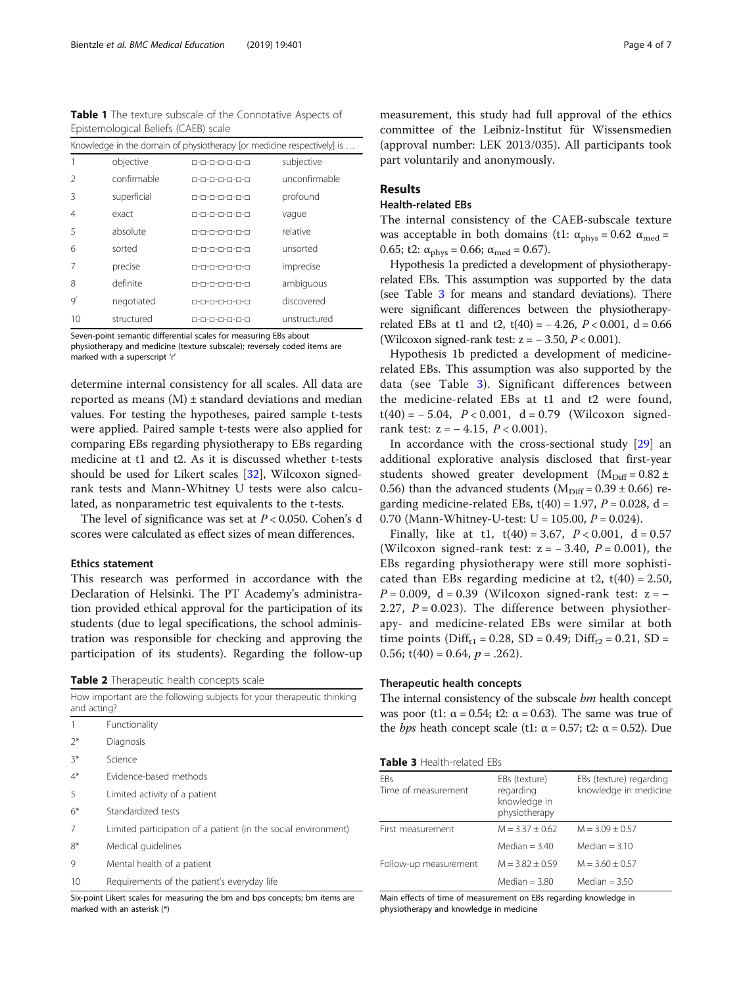<span id="page-3-0"></span>Table 1 The texture subscale of the Connotative Aspects of Epistemological Beliefs (CAEB) scale

| Knowledge in the domain of physiotherapy [or medicine respectively] is |             |               |               |  |  |
|------------------------------------------------------------------------|-------------|---------------|---------------|--|--|
|                                                                        | objective   | 0-0-0-0-0-0-0 | subjective    |  |  |
|                                                                        | confirmable | п-п-п-п-п-п-п | unconfirmable |  |  |
| Β                                                                      | superficial | 0-0-0-0-0-0-0 | profound      |  |  |
| 4                                                                      | exact       | п-п-п-п-п-п-п | vaque         |  |  |
| 5                                                                      | absolute    | п-п-п-п-п-п-п | relative      |  |  |
| 6                                                                      | sorted      | п-п-п-п-п-п-п | unsorted      |  |  |
|                                                                        | precise     | 0-0-0-0-0-0-0 | imprecise     |  |  |
| 8                                                                      | definite    | п-п-п-п-п-п-п | ambiguous     |  |  |
| g <sup>r</sup>                                                         | negotiated  | 0-0-0-0-0-0-0 | discovered    |  |  |
| 10                                                                     | structured  | п-п-п-п-п-п-п | unstructured  |  |  |

Seven-point semantic differential scales for measuring EBs about physiotherapy and medicine (texture subscale); reversely coded items are marked with a superscript 'r'

determine internal consistency for all scales. All data are reported as means  $(M)$  ± standard deviations and median values. For testing the hypotheses, paired sample t-tests were applied. Paired sample t-tests were also applied for comparing EBs regarding physiotherapy to EBs regarding medicine at t1 and t2. As it is discussed whether t-tests should be used for Likert scales [\[32\]](#page-5-0), Wilcoxon signedrank tests and Mann-Whitney U tests were also calculated, as nonparametric test equivalents to the t-tests.

The level of significance was set at  $P < 0.050$ . Cohen's d scores were calculated as effect sizes of mean differences.

# Ethics statement

This research was performed in accordance with the Declaration of Helsinki. The PT Academy's administration provided ethical approval for the participation of its students (due to legal specifications, the school administration was responsible for checking and approving the participation of its students). Regarding the follow-up

Table 2 Therapeutic health concepts scale

| How important are the following subjects for your therapeutic thinking<br>and acting? |                                                                |  |  |  |
|---------------------------------------------------------------------------------------|----------------------------------------------------------------|--|--|--|
| 1                                                                                     | Functionality                                                  |  |  |  |
| $2*$                                                                                  | Diagnosis                                                      |  |  |  |
| $3*$                                                                                  | Science                                                        |  |  |  |
| 4*                                                                                    | Evidence-based methods                                         |  |  |  |
| 5                                                                                     | Limited activity of a patient                                  |  |  |  |
| 6*                                                                                    | Standardized tests                                             |  |  |  |
| 7                                                                                     | Limited participation of a patient (in the social environment) |  |  |  |
| $8*$                                                                                  | Medical quidelines                                             |  |  |  |
|                                                                                       |                                                                |  |  |  |

9 Mental health of a patient

10 Requirements of the patient's everyday life

Six-point Likert scales for measuring the bm and bps concepts; bm items are marked with an asterisk (\*)

measurement, this study had full approval of the ethics committee of the Leibniz-Institut für Wissensmedien (approval number: LEK 2013/035). All participants took part voluntarily and anonymously.

# Results

# Health-related EBs

The internal consistency of the CAEB-subscale texture was acceptable in both domains (t1:  $\alpha_{\text{phys}} = 0.62 \ \alpha_{\text{med}} =$ 0.65; t2:  $\alpha_{\text{phys}} = 0.66$ ;  $\alpha_{\text{med}} = 0.67$ ).

Hypothesis 1a predicted a development of physiotherapyrelated EBs. This assumption was supported by the data (see Table 3 for means and standard deviations). There were significant differences between the physiotherapyrelated EBs at t1 and t2, t(40) =  $-4.26$ ,  $P < 0.001$ , d = 0.66 (Wilcoxon signed-rank test:  $z = -3.50$ ,  $P < 0.001$ ).

Hypothesis 1b predicted a development of medicinerelated EBs. This assumption was also supported by the data (see Table 3). Significant differences between the medicine-related EBs at t1 and t2 were found,  $t(40) = -5.04$ ,  $P < 0.001$ ,  $d = 0.79$  (Wilcoxon signedrank test:  $z = -4.15$ ,  $P < 0.001$ ).

In accordance with the cross-sectional study [\[29\]](#page-5-0) an additional explorative analysis disclosed that first-year students showed greater development  $(M<sub>Diff</sub> = 0.82 \pm$ 0.56) than the advanced students ( $M<sub>Diff</sub> = 0.39 \pm 0.66$ ) regarding medicine-related EBs,  $t(40) = 1.97$ ,  $P = 0.028$ , d = 0.70 (Mann-Whitney-U-test: U = 105.00,  $P = 0.024$ ).

Finally, like at t1,  $t(40) = 3.67$ ,  $P < 0.001$ ,  $d = 0.57$ (Wilcoxon signed-rank test:  $z = -3.40$ ,  $P = 0.001$ ), the EBs regarding physiotherapy were still more sophisticated than EBs regarding medicine at  $t2$ ,  $t(40) = 2.50$ ,  $P = 0.009$ , d = 0.39 (Wilcoxon signed-rank test: z = − 2.27,  $P = 0.023$ ). The difference between physiotherapy- and medicine-related EBs were similar at both time points ( $Diff_{t1} = 0.28$ , SD = 0.49; Diff<sub>t2</sub> = 0.21, SD = 0.56;  $t(40) = 0.64$ ,  $p = .262$ ).

# Therapeutic health concepts

The internal consistency of the subscale  $bm$  health concept was poor (t1:  $\alpha$  = 0.54; t2:  $\alpha$  = 0.63). The same was true of the *bps* heath concept scale (t1: α = 0.57; t2: α = 0.52). Due

| <b>Table 3 Health-related EBs</b> |  |
|-----------------------------------|--|
|-----------------------------------|--|

| <b>FBs</b><br>Time of measurement | EBs (texture)<br>regarding<br>knowledge in<br>physiotherapy | EBs (texture) regarding<br>knowledge in medicine |
|-----------------------------------|-------------------------------------------------------------|--------------------------------------------------|
| First measurement                 | $M = 3.37 + 0.62$                                           | $M = 3.09 + 0.57$                                |
|                                   | Median $=$ 3.40                                             | Median $=$ 3.10                                  |
| Follow-up measurement             | $M = 3.82 + 0.59$                                           | $M = 3.60 + 0.57$                                |
|                                   | Median $=$ 3.80                                             | Median $=$ 3.50                                  |

Main effects of time of measurement on EBs regarding knowledge in physiotherapy and knowledge in medicine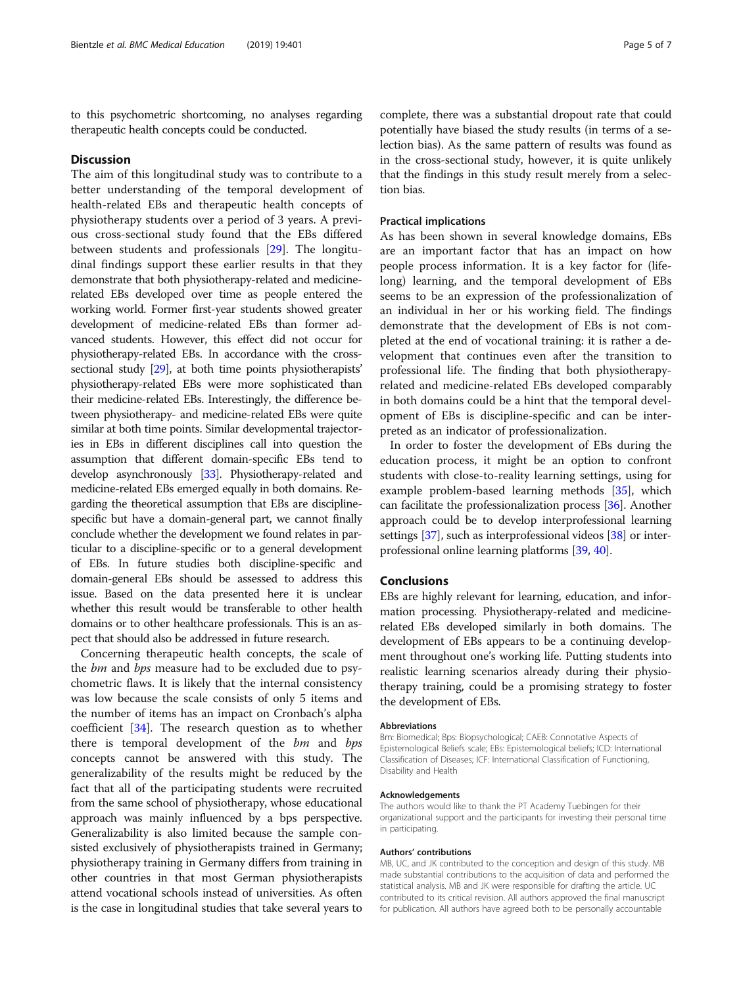to this psychometric shortcoming, no analyses regarding therapeutic health concepts could be conducted.

### **Discussion**

The aim of this longitudinal study was to contribute to a better understanding of the temporal development of health-related EBs and therapeutic health concepts of physiotherapy students over a period of 3 years. A previous cross-sectional study found that the EBs differed between students and professionals [\[29](#page-5-0)]. The longitudinal findings support these earlier results in that they demonstrate that both physiotherapy-related and medicinerelated EBs developed over time as people entered the working world. Former first-year students showed greater development of medicine-related EBs than former advanced students. However, this effect did not occur for physiotherapy-related EBs. In accordance with the crosssectional study [\[29\]](#page-5-0), at both time points physiotherapists' physiotherapy-related EBs were more sophisticated than their medicine-related EBs. Interestingly, the difference between physiotherapy- and medicine-related EBs were quite similar at both time points. Similar developmental trajectories in EBs in different disciplines call into question the assumption that different domain-specific EBs tend to develop asynchronously [[33\]](#page-6-0). Physiotherapy-related and medicine-related EBs emerged equally in both domains. Regarding the theoretical assumption that EBs are disciplinespecific but have a domain-general part, we cannot finally conclude whether the development we found relates in particular to a discipline-specific or to a general development of EBs. In future studies both discipline-specific and domain-general EBs should be assessed to address this issue. Based on the data presented here it is unclear whether this result would be transferable to other health domains or to other healthcare professionals. This is an aspect that should also be addressed in future research.

Concerning therapeutic health concepts, the scale of the *bm* and *bps* measure had to be excluded due to psychometric flaws. It is likely that the internal consistency was low because the scale consists of only 5 items and the number of items has an impact on Cronbach's alpha coefficient [\[34](#page-6-0)]. The research question as to whether there is temporal development of the bm and bps concepts cannot be answered with this study. The generalizability of the results might be reduced by the fact that all of the participating students were recruited from the same school of physiotherapy, whose educational approach was mainly influenced by a bps perspective. Generalizability is also limited because the sample consisted exclusively of physiotherapists trained in Germany; physiotherapy training in Germany differs from training in other countries in that most German physiotherapists attend vocational schools instead of universities. As often is the case in longitudinal studies that take several years to

complete, there was a substantial dropout rate that could potentially have biased the study results (in terms of a selection bias). As the same pattern of results was found as in the cross-sectional study, however, it is quite unlikely that the findings in this study result merely from a selection bias.

### Practical implications

As has been shown in several knowledge domains, EBs are an important factor that has an impact on how people process information. It is a key factor for (lifelong) learning, and the temporal development of EBs seems to be an expression of the professionalization of an individual in her or his working field. The findings demonstrate that the development of EBs is not completed at the end of vocational training: it is rather a development that continues even after the transition to professional life. The finding that both physiotherapyrelated and medicine-related EBs developed comparably in both domains could be a hint that the temporal development of EBs is discipline-specific and can be interpreted as an indicator of professionalization.

In order to foster the development of EBs during the education process, it might be an option to confront students with close-to-reality learning settings, using for example problem-based learning methods [\[35](#page-6-0)], which can facilitate the professionalization process [\[36\]](#page-6-0). Another approach could be to develop interprofessional learning settings [[37](#page-6-0)], such as interprofessional videos [[38](#page-6-0)] or interprofessional online learning platforms [[39](#page-6-0), [40\]](#page-6-0).

# Conclusions

EBs are highly relevant for learning, education, and information processing. Physiotherapy-related and medicinerelated EBs developed similarly in both domains. The development of EBs appears to be a continuing development throughout one's working life. Putting students into realistic learning scenarios already during their physiotherapy training, could be a promising strategy to foster the development of EBs.

#### Abbreviations

Bm: Biomedical; Bps: Biopsychological; CAEB: Connotative Aspects of Epistemological Beliefs scale; EBs: Epistemological beliefs; ICD: International Classification of Diseases; ICF: International Classification of Functioning, Disability and Health

#### Acknowledgements

The authors would like to thank the PT Academy Tuebingen for their organizational support and the participants for investing their personal time in participating.

#### Authors' contributions

MB, UC, and JK contributed to the conception and design of this study. MB made substantial contributions to the acquisition of data and performed the statistical analysis. MB and JK were responsible for drafting the article. UC contributed to its critical revision. All authors approved the final manuscript for publication. All authors have agreed both to be personally accountable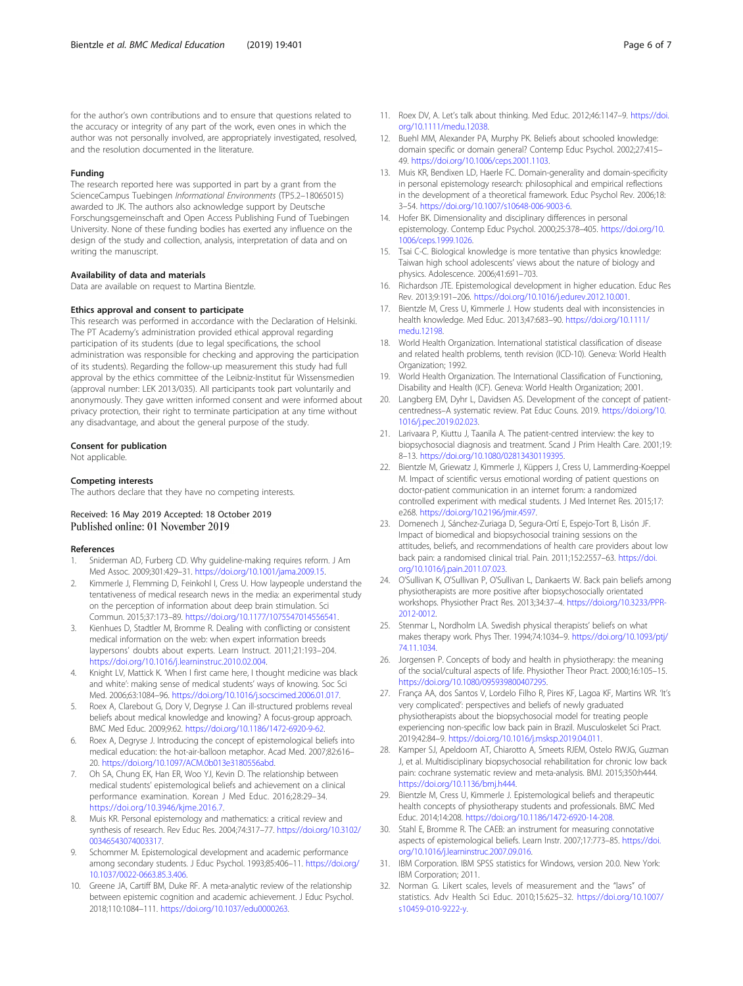#### <span id="page-5-0"></span>Funding

The research reported here was supported in part by a grant from the ScienceCampus Tuebingen Informational Environments (TP5.2–18065015) awarded to JK. The authors also acknowledge support by Deutsche Forschungsgemeinschaft and Open Access Publishing Fund of Tuebingen University. None of these funding bodies has exerted any influence on the design of the study and collection, analysis, interpretation of data and on writing the manuscript.

#### Availability of data and materials

Data are available on request to Martina Bientzle.

#### Ethics approval and consent to participate

This research was performed in accordance with the Declaration of Helsinki. The PT Academy's administration provided ethical approval regarding participation of its students (due to legal specifications, the school administration was responsible for checking and approving the participation of its students). Regarding the follow-up measurement this study had full approval by the ethics committee of the Leibniz-Institut für Wissensmedien (approval number: LEK 2013/035). All participants took part voluntarily and anonymously. They gave written informed consent and were informed about privacy protection, their right to terminate participation at any time without any disadvantage, and about the general purpose of the study.

#### Consent for publication

Not applicable.

#### Competing interests

The authors declare that they have no competing interests.

# Received: 16 May 2019 Accepted: 18 October 2019 Published online: 01 November 2019

#### References

- 1. Sniderman AD, Furberg CD. Why guideline-making requires reform. J Am Med Assoc. 2009;301:429–31. <https://doi.org/10.1001/jama.2009.15>.
- Kimmerle J, Flemming D, Feinkohl I, Cress U. How laypeople understand the tentativeness of medical research news in the media: an experimental study on the perception of information about deep brain stimulation. Sci Commun. 2015;37:173–89. <https://doi.org/10.1177/1075547014556541>.
- 3. Kienhues D, Stadtler M, Bromme R. Dealing with conflicting or consistent medical information on the web: when expert information breeds laypersons' doubts about experts. Learn Instruct. 2011;21:193–204. <https://doi.org/10.1016/j.learninstruc.2010.02.004>.
- 4. Knight LV, Mattick K. 'When I first came here, I thought medicine was black and white': making sense of medical students' ways of knowing. Soc Sci Med. 2006;63:1084–96. [https://doi.org/10.1016/j.socscimed.2006.01.017.](https://doi.org/10.1016/j.socscimed.2006.01.017)
- Roex A, Clarebout G, Dory V, Degryse J. Can ill-structured problems reveal beliefs about medical knowledge and knowing? A focus-group approach. BMC Med Educ. 2009;9:62. [https://doi.org/10.1186/1472-6920-9-62.](https://doi.org/10.1186/1472-6920-9-62)
- 6. Roex A, Degryse J. Introducing the concept of epistemological beliefs into medical education: the hot-air-balloon metaphor. Acad Med. 2007;82:616– 20. [https://doi.org/10.1097/ACM.0b013e3180556abd.](https://doi.org/10.1097/ACM.0b013e3180556abd)
- 7. Oh SA, Chung EK, Han ER, Woo YJ, Kevin D. The relationship between medical students' epistemological beliefs and achievement on a clinical performance examination. Korean J Med Educ. 2016;28:29–34. [https://doi.org/10.3946/kjme.2016.7.](https://doi.org/10.3946/kjme.2016.7)
- 8. Muis KR. Personal epistemology and mathematics: a critical review and synthesis of research. Rev Educ Res. 2004;74:317–77. [https://doi.org/10.3102/](https://doi.org/10.3102/00346543074003317) [00346543074003317.](https://doi.org/10.3102/00346543074003317)
- Schommer M. Epistemological development and academic performance among secondary students. J Educ Psychol. 1993;85:406–11. [https://doi.org/](https://doi.org/10.1037/0022-0663.85.3.406) [10.1037/0022-0663.85.3.406](https://doi.org/10.1037/0022-0663.85.3.406).
- 10. Greene JA, Cartiff BM, Duke RF. A meta-analytic review of the relationship between epistemic cognition and academic achievement. J Educ Psychol. 2018;110:1084–111. [https://doi.org/10.1037/edu0000263.](https://doi.org/10.1037/edu0000263)
- 11. Roex DV, A. Let's talk about thinking. Med Educ. 2012;46:1147–9. [https://doi.](https://doi.org/10.1111/medu.12038) [org/10.1111/medu.12038](https://doi.org/10.1111/medu.12038).
- 12. Buehl MM, Alexander PA, Murphy PK. Beliefs about schooled knowledge: domain specific or domain general? Contemp Educ Psychol. 2002;27:415– 49. [https://doi.org/10.1006/ceps.2001.1103.](https://doi.org/10.1006/ceps.2001.1103)
- 13. Muis KR, Bendixen LD, Haerle FC. Domain-generality and domain-specificity in personal epistemology research: philosophical and empirical reflections in the development of a theoretical framework. Educ Psychol Rev. 2006;18: 3–54. <https://doi.org/10.1007/s10648-006-9003-6>.
- 14. Hofer BK. Dimensionality and disciplinary differences in personal epistemology. Contemp Educ Psychol. 2000;25:378–405. [https://doi.org/10.](https://doi.org/10.1006/ceps.1999.1026) [1006/ceps.1999.1026](https://doi.org/10.1006/ceps.1999.1026).
- 15. Tsai C-C. Biological knowledge is more tentative than physics knowledge: Taiwan high school adolescents' views about the nature of biology and physics. Adolescence. 2006;41:691–703.
- 16. Richardson JTE. Epistemological development in higher education. Educ Res Rev. 2013;9:191–206. [https://doi.org/10.1016/j.edurev.2012.10.001.](https://doi.org/10.1016/j.edurev.2012.10.001)
- 17. Bientzle M, Cress U, Kimmerle J. How students deal with inconsistencies in health knowledge. Med Educ. 2013;47:683–90. [https://doi.org/10.1111/](https://doi.org/10.1111/medu.12198) [medu.12198.](https://doi.org/10.1111/medu.12198)
- 18. World Health Organization. International statistical classification of disease and related health problems, tenth revision (ICD-10). Geneva: World Health Organization; 1992.
- 19. World Health Organization. The International Classification of Functioning, Disability and Health (ICF). Geneva: World Health Organization; 2001.
- 20. Langberg EM, Dyhr L, Davidsen AS. Development of the concept of patientcentredness–A systematic review. Pat Educ Couns. 2019. [https://doi.org/10.](https://doi.org/10.1016/j.pec.2019.02.023) [1016/j.pec.2019.02.023](https://doi.org/10.1016/j.pec.2019.02.023).
- 21. Larivaara P, Kiuttu J, Taanila A. The patient-centred interview: the key to biopsychosocial diagnosis and treatment. Scand J Prim Health Care. 2001;19: 8–13. [https://doi.org/10.1080/02813430119395.](https://doi.org/10.1080/02813430119395)
- 22. Bientzle M, Griewatz J, Kimmerle J, Küppers J, Cress U, Lammerding-Koeppel M. Impact of scientific versus emotional wording of patient questions on doctor-patient communication in an internet forum: a randomized controlled experiment with medical students. J Med Internet Res. 2015;17: e268. [https://doi.org/10.2196/jmir.4597.](https://doi.org/10.2196/jmir.4597)
- 23. Domenech J, Sánchez-Zuriaga D, Segura-Ortí E, Espejo-Tort B, Lisón JF. Impact of biomedical and biopsychosocial training sessions on the attitudes, beliefs, and recommendations of health care providers about low back pain: a randomised clinical trial. Pain. 2011;152:2557–63. [https://doi.](https://doi.org/10.1016/j.pain.2011.07.023) [org/10.1016/j.pain.2011.07.023](https://doi.org/10.1016/j.pain.2011.07.023).
- 24. O'Sullivan K, O'Sullivan P, O'Sullivan L, Dankaerts W. Back pain beliefs among physiotherapists are more positive after biopsychosocially orientated workshops. Physiother Pract Res. 2013;34:37–4. [https://doi.org/10.3233/PPR-](https://doi.org/10.3233/PPR-2012-0012)[2012-0012](https://doi.org/10.3233/PPR-2012-0012).
- 25. Stenmar L, Nordholm LA. Swedish physical therapists' beliefs on what makes therapy work. Phys Ther. 1994;74:1034–9. [https://doi.org/10.1093/ptj/](https://doi.org/10.1093/ptj/74.11.1034) [74.11.1034](https://doi.org/10.1093/ptj/74.11.1034).
- 26. Jorgensen P. Concepts of body and health in physiotherapy: the meaning of the social/cultural aspects of life. Physiother Theor Pract. 2000;16:105–15. <https://doi.org/10.1080/095939800407295>.
- 27. França AA, dos Santos V, Lordelo Filho R, Pires KF, Lagoa KF, Martins WR. 'It's very complicated': perspectives and beliefs of newly graduated physiotherapists about the biopsychosocial model for treating people experiencing non-specific low back pain in Brazil. Musculoskelet Sci Pract. 2019;42:84–9. [https://doi.org/10.1016/j.msksp.2019.04.011.](https://doi.org/10.1016/j.msksp.2019.04.011)
- 28. Kamper SJ, Apeldoorn AT, Chiarotto A, Smeets RJEM, Ostelo RWJG, Guzman J, et al. Multidisciplinary biopsychosocial rehabilitation for chronic low back pain: cochrane systematic review and meta-analysis. BMJ. 2015;350:h444. <https://doi.org/10.1136/bmj.h444>.
- 29. Bientzle M, Cress U, Kimmerle J. Epistemological beliefs and therapeutic health concepts of physiotherapy students and professionals. BMC Med Educ. 2014;14:208. <https://doi.org/10.1186/1472-6920-14-208>.
- 30. Stahl E, Bromme R. The CAEB: an instrument for measuring connotative aspects of epistemological beliefs. Learn Instr. 2007;17:773–85. [https://doi.](https://doi.org/10.1016/j.learninstruc.2007.09.016) [org/10.1016/j.learninstruc.2007.09.016.](https://doi.org/10.1016/j.learninstruc.2007.09.016)
- 31. IBM Corporation. IBM SPSS statistics for Windows, version 20.0. New York: IBM Corporation; 2011.
- 32. Norman G. Likert scales, levels of measurement and the "laws" of statistics. Adv Health Sci Educ. 2010;15:625–32. [https://doi.org/10.1007/](https://doi.org/10.1007/s10459-010-9222-y) [s10459-010-9222-y](https://doi.org/10.1007/s10459-010-9222-y).